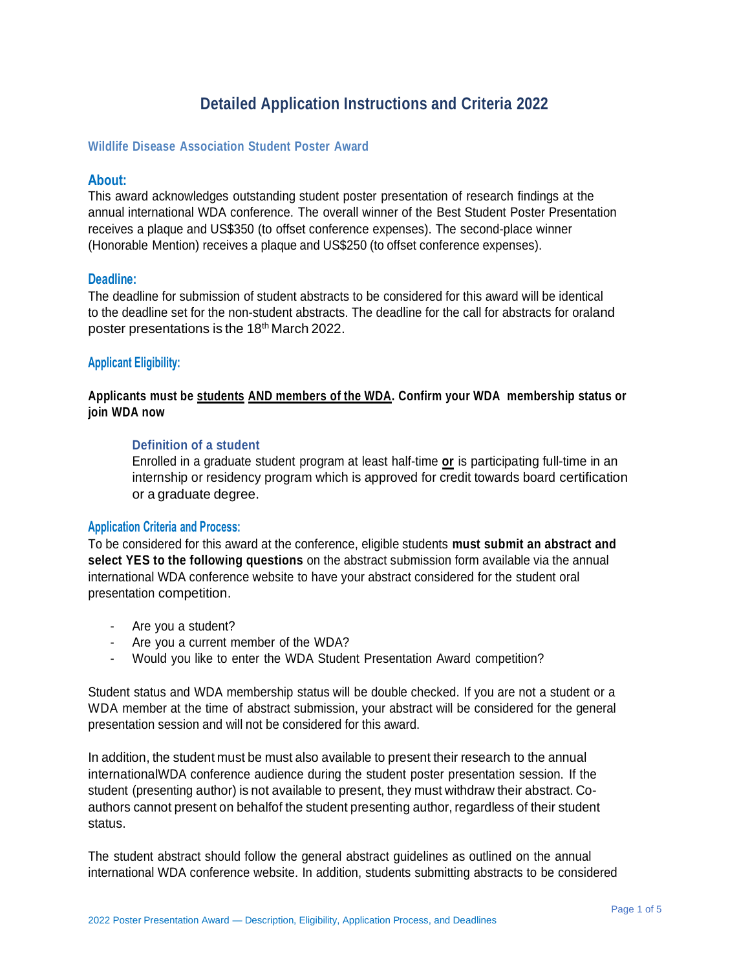## **Detailed Application Instructions and Criteria 2022**

#### **Wildlife Disease Association Student Poster Award**

#### **About:**

This award acknowledges outstanding student poster presentation of research findings at the annual international WDA conference. The overall winner of the Best Student Poster Presentation receives a plaque and US\$350 (to offset conference expenses). The second-place winner (Honorable Mention) receives a plaque and US\$250 (to offset conference expenses).

#### **Deadline:**

The deadline for submission of student abstracts to be considered for this award will be identical to the deadline set for the non-student abstracts. The deadline for the call for abstracts for oraland poster presentations is the 18<sup>th</sup> March 2022.

#### **Applicant Eligibility:**

### **Applicants must be students AND members of the WDA. Confirm your WDA membership status or join WDA now**

#### **Definition of a student**

Enrolled in a graduate student program at least half-time **or** is participating full-time in an internship or residency program which is approved for credit towards board certification or a graduate degree.

#### **Application Criteria and Process:**

To be considered for this award at the conference, eligible students **must submit an abstract and select YES to the following questions** on the abstract submission form available via the annual international WDA conference website to have your abstract considered for the student oral presentation competition.

- Are you a student?
- Are you a current member of the WDA?
- Would you like to enter the WDA Student Presentation Award competition?

Student status and WDA membership status will be double checked. If you are not a student or a WDA member at the time of abstract submission, your abstract will be considered for the general presentation session and will not be considered for this award.

In addition, the student must be must also available to present their research to the annual internationalWDA conference audience during the student poster presentation session. If the student (presenting author) is not available to present, they must withdraw their abstract. Coauthors cannot present on behalfof the student presenting author, regardless of their student status.

The student abstract should follow the general abstract guidelines as outlined on the annual international WDA conference website. In addition, students submitting abstracts to be considered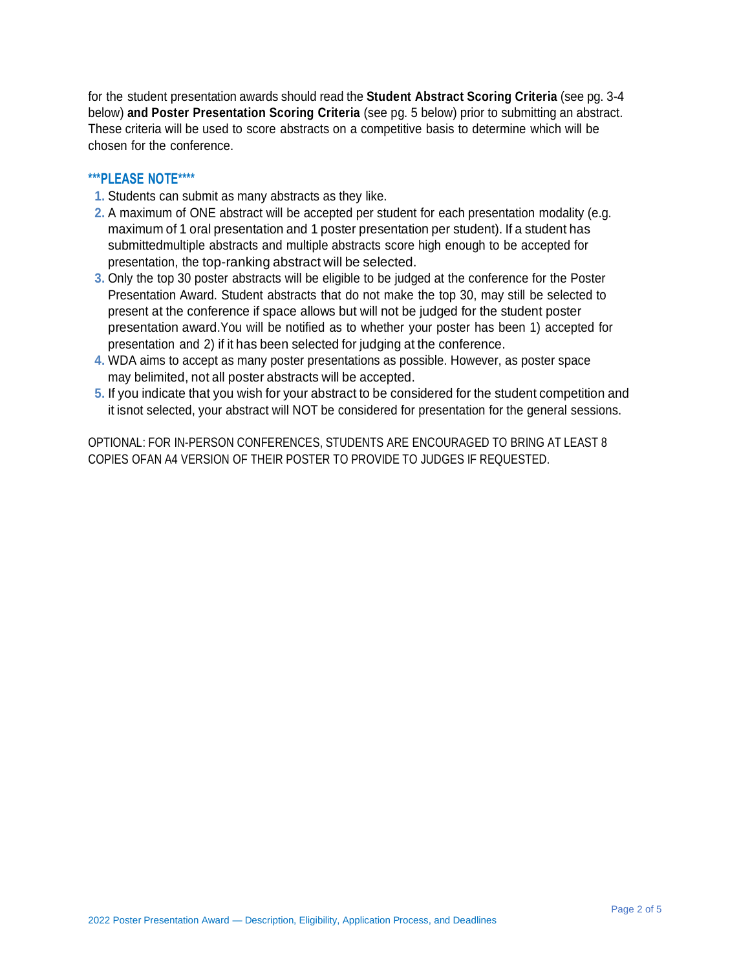for the student presentation awards should read the **Student Abstract Scoring Criteria** (see pg. 3-4 below) **and Poster Presentation Scoring Criteria** (see pg. 5 below) prior to submitting an abstract. These criteria will be used to score abstracts on a competitive basis to determine which will be chosen for the conference.

## **\*\*\*PLEASE NOTE\*\*\*\***

- **1.** Students can submit as many abstracts as they like.
- **2.** A maximum of ONE abstract will be accepted per student for each presentation modality (e.g. maximum of 1 oral presentation and 1 poster presentation per student). If a student has submittedmultiple abstracts and multiple abstracts score high enough to be accepted for presentation, the top-ranking abstract will be selected.
- **3.** Only the top 30 poster abstracts will be eligible to be judged at the conference for the Poster Presentation Award. Student abstracts that do not make the top 30, may still be selected to present at the conference if space allows but will not be judged for the student poster presentation award.You will be notified as to whether your poster has been 1) accepted for presentation and 2) if it has been selected for judging at the conference.
- **4.** WDA aims to accept as many poster presentations as possible. However, as poster space may belimited, not all poster abstracts will be accepted.
- **5.** If you indicate that you wish for your abstract to be considered for the student competition and it isnot selected, your abstract will NOT be considered for presentation for the general sessions.

OPTIONAL: FOR IN-PERSON CONFERENCES, STUDENTS ARE ENCOURAGED TO BRING AT LEAST 8 COPIES OFAN A4 VERSION OF THEIR POSTER TO PROVIDE TO JUDGES IF REQUESTED.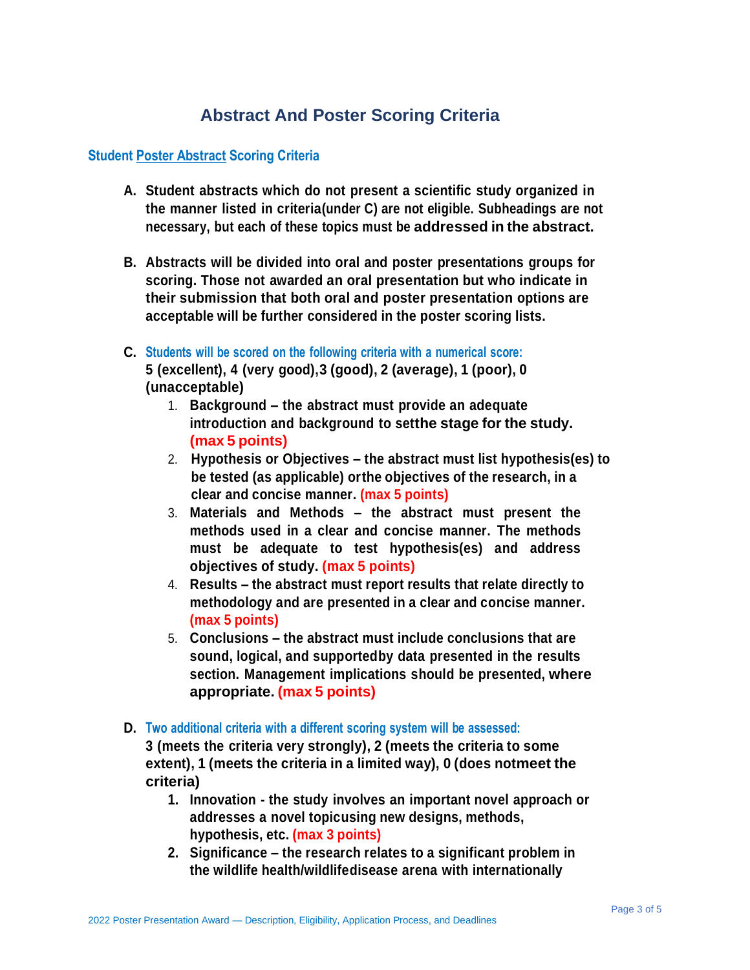# **Abstract And Poster Scoring Criteria**

## **Student Poster Abstract Scoring Criteria**

- **A. Student abstracts which do not present a scientific study organized in the manner listed in criteria(under C) are not eligible. Subheadings are not necessary, but each of these topics must be addressed in the abstract.**
- **B. Abstracts will be divided into oral and poster presentations groups for scoring. Those not awarded an oral presentation but who indicate in their submission that both oral and poster presentation options are acceptable will be further considered in the poster scoring lists.**
- **C. Students will be scored on the following criteria with a numerical score: 5 (excellent), 4 (very good),3 (good), 2 (average), 1 (poor), 0 (unacceptable)**
	- 1. **Background – the abstract must provide an adequate introduction and background to setthe stage for the study. (max 5 points)**
	- 2. **Hypothesis or Objectives – the abstract must list hypothesis(es) to be tested (as applicable) orthe objectives of the research, in a clear and concise manner. (max 5 points)**
	- 3. **Materials and Methods – the abstract must present the methods used in a clear and concise manner. The methods must be adequate to test hypothesis(es) and address objectives of study. (max 5 points)**
	- 4. **Results – the abstract must report results that relate directly to methodology and are presented in a clear and concise manner. (max 5 points)**
	- 5. **Conclusions – the abstract must include conclusions that are sound, logical, and supportedby data presented in the results section. Management implications should be presented, where appropriate. (max 5 points)**
- **D. Two additional criteria with a different scoring system will be assessed:**

**3 (meets the criteria very strongly), 2 (meets the criteria to some extent), 1 (meets the criteria in a limited way), 0 (does notmeet the criteria)**

- **1. Innovation - the study involves an important novel approach or addresses a novel topicusing new designs, methods, hypothesis, etc. (max 3 points)**
- **2. Significance – the research relates to a significant problem in the wildlife health/wildlifedisease arena with internationally**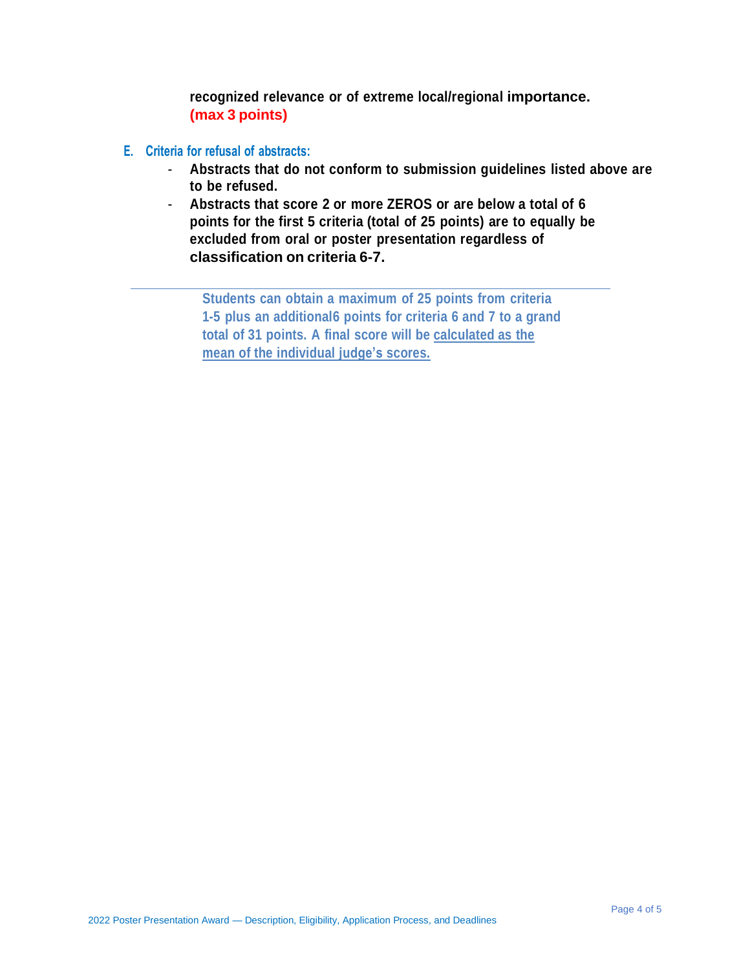**recognized relevance or of extreme local/regional importance. (max 3 points)**

- **E. Criteria for refusal of abstracts:**
	- **Abstracts that do not conform to submission guidelines listed above are to be refused.**
	- **Abstracts that score 2 or more ZEROS or are below a total of 6 points for the first 5 criteria (total of 25 points) are to equally be excluded from oral or poster presentation regardless of classification on criteria 6-7.**

**Students can obtain a maximum of 25 points from criteria 1-5 plus an additional6 points for criteria 6 and 7 to a grand total of 31 points. A final score will be calculated as the mean of the individual judge's scores.**